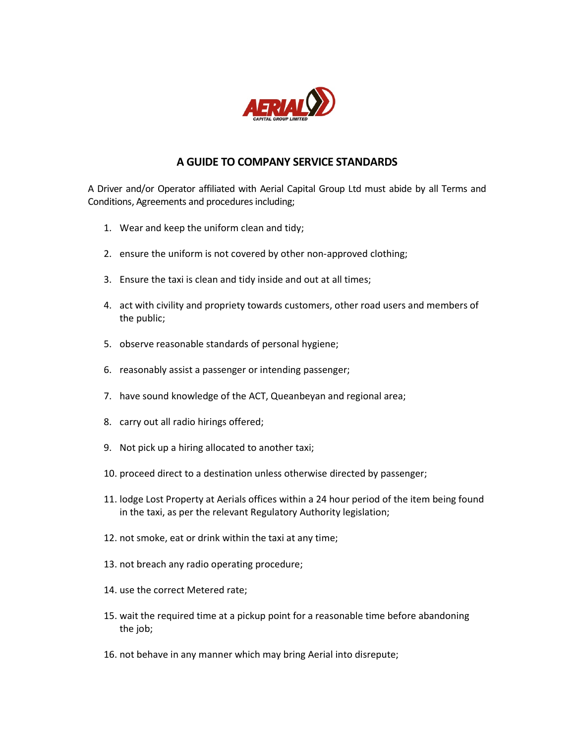

## A GUIDE TO COMPANY SERVICE STANDARDS

A Driver and/or Operator affiliated with Aerial Capital Group Ltd must abide by all Terms and Conditions, Agreements and procedures including;

- 1. Wear and keep the uniform clean and tidy;
- 2. ensure the uniform is not covered by other non-approved clothing;
- 3. Ensure the taxi is clean and tidy inside and out at all times;
- 4. act with civility and propriety towards customers, other road users and members of the public;
- 5. observe reasonable standards of personal hygiene;
- 6. reasonably assist a passenger or intending passenger;
- 7. have sound knowledge of the ACT, Queanbeyan and regional area;
- 8. carry out all radio hirings offered;
- 9. Not pick up a hiring allocated to another taxi;
- 10. proceed direct to a destination unless otherwise directed by passenger;
- 11. lodge Lost Property at Aerials offices within a 24 hour period of the item being found in the taxi, as per the relevant Regulatory Authority legislation;
- 12. not smoke, eat or drink within the taxi at any time;
- 13. not breach any radio operating procedure;
- 14. use the correct Metered rate;
- 15. wait the required time at a pickup point for a reasonable time before abandoning the job;
- 16. not behave in any manner which may bring Aerial into disrepute;